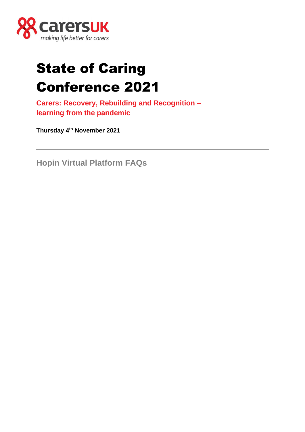

# State of Caring Conference 2021

**Carers: Recovery, Rebuilding and Recognition – learning from the pandemic**

**Thursday 4th November 2021**

**Hopin Virtual Platform FAQs**